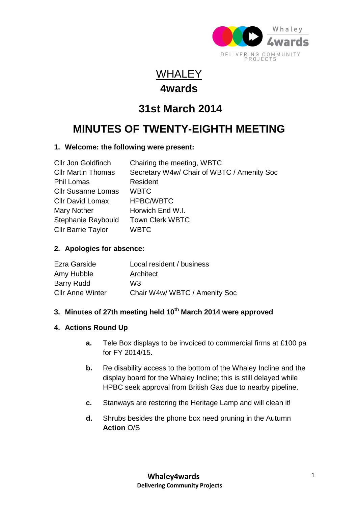

### WHALEY **4wards**

## **31st March 2014**

# **MINUTES OF TWENTY-EIGHTH MEETING**

#### **1. Welcome: the following were present:**

| <b>Cllr Jon Goldfinch</b> | Chairing the meeting, WBTC                 |
|---------------------------|--------------------------------------------|
| <b>Cllr Martin Thomas</b> | Secretary W4w/ Chair of WBTC / Amenity Soc |
| <b>Phil Lomas</b>         | Resident                                   |
| <b>Cllr Susanne Lomas</b> | <b>WBTC</b>                                |
| <b>Cllr David Lomax</b>   | <b>HPBC/WBTC</b>                           |
| <b>Mary Nother</b>        | Horwich End W.I.                           |
| Stephanie Raybould        | <b>Town Clerk WBTC</b>                     |
| <b>Cllr Barrie Taylor</b> | <b>WBTC</b>                                |

#### **2. Apologies for absence:**

| Ezra Garside            | Local resident / business     |
|-------------------------|-------------------------------|
| Amy Hubble              | Architect                     |
| <b>Barry Rudd</b>       | W3                            |
| <b>Cllr Anne Winter</b> | Chair W4w/ WBTC / Amenity Soc |

### **3. Minutes of 27th meeting held 10th March 2014 were approved**

#### **4. Actions Round Up**

- **a.** Tele Box displays to be invoiced to commercial firms at £100 pa for FY 2014/15.
- **b.** Re disability access to the bottom of the Whaley Incline and the display board for the Whaley Incline; this is still delayed while HPBC seek approval from British Gas due to nearby pipeline.
- **c.** Stanways are restoring the Heritage Lamp and will clean it!
- **d.** Shrubs besides the phone box need pruning in the Autumn **Action** O/S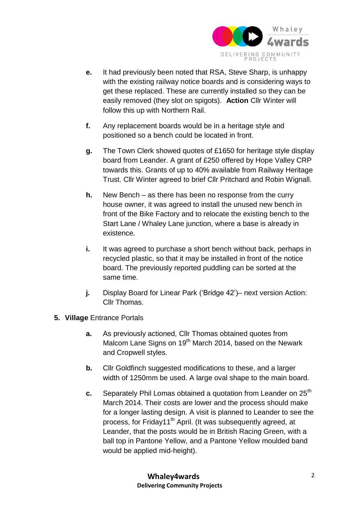

- **e.** It had previously been noted that RSA, Steve Sharp, is unhappy with the existing railway notice boards and is considering ways to get these replaced. These are currently installed so they can be easily removed (they slot on spigots). **Action** Cllr Winter will follow this up with Northern Rail.
- **f.** Any replacement boards would be in a heritage style and positioned so a bench could be located in front.
- **g.** The Town Clerk showed quotes of £1650 for heritage style display board from Leander. A grant of £250 offered by Hope Valley CRP towards this. Grants of up to 40% available from Railway Heritage Trust. Cllr Winter agreed to brief Cllr Pritchard and Robin Wignall.
- **h.** New Bench as there has been no response from the curry house owner, it was agreed to install the unused new bench in front of the Bike Factory and to relocate the existing bench to the Start Lane / Whaley Lane junction, where a base is already in existence.
- **i.** It was agreed to purchase a short bench without back, perhaps in recycled plastic, so that it may be installed in front of the notice board. The previously reported puddling can be sorted at the same time.
- **j.** Display Board for Linear Park ('Bridge 42')– next version Action: Cllr Thomas.
- **5. Village** Entrance Portals
	- **a.** As previously actioned, Cllr Thomas obtained quotes from Malcom Lane Signs on 19<sup>th</sup> March 2014, based on the Newark and Cropwell styles.
	- **b.** Cllr Goldfinch suggested modifications to these, and a larger width of 1250mm be used. A large oval shape to the main board.
	- **c.** Separately Phil Lomas obtained a quotation from Leander on 25<sup>th</sup> March 2014. Their costs are lower and the process should make for a longer lasting design. A visit is planned to Leander to see the process, for Friday11<sup>th</sup> April. (It was subsequently agreed, at Leander, that the posts would be in British Racing Green, with a ball top in Pantone Yellow, and a Pantone Yellow moulded band would be applied mid-height).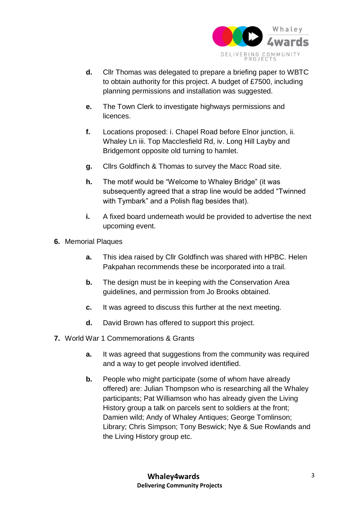

- **d.** Cllr Thomas was delegated to prepare a briefing paper to WBTC to obtain authority for this project. A budget of £7500, including planning permissions and installation was suggested.
- **e.** The Town Clerk to investigate highways permissions and **licences**
- **f.** Locations proposed: i. Chapel Road before Elnor junction, ii. Whaley Ln iii. Top Macclesfield Rd, iv. Long Hill Layby and Bridgemont opposite old turning to hamlet.
- **g.** Cllrs Goldfinch & Thomas to survey the Macc Road site.
- **h.** The motif would be "Welcome to Whaley Bridge" (it was subsequently agreed that a strap line would be added "Twinned with Tymbark" and a Polish flag besides that).
- **i.** A fixed board underneath would be provided to advertise the next upcoming event.
- **6.** Memorial Plaques
	- **a.** This idea raised by Cllr Goldfinch was shared with HPBC. Helen Pakpahan recommends these be incorporated into a trail.
	- **b.** The design must be in keeping with the Conservation Area guidelines, and permission from Jo Brooks obtained.
	- **c.** It was agreed to discuss this further at the next meeting.
	- **d.** David Brown has offered to support this project.
- **7.** World War 1 Commemorations & Grants
	- **a.** It was agreed that suggestions from the community was required and a way to get people involved identified.
	- **b.** People who might participate (some of whom have already offered) are: Julian Thompson who is researching all the Whaley participants; Pat Williamson who has already given the Living History group a talk on parcels sent to soldiers at the front; Damien wild; Andy of Whaley Antiques; George Tomlinson; Library; Chris Simpson; Tony Beswick; Nye & Sue Rowlands and the Living History group etc.